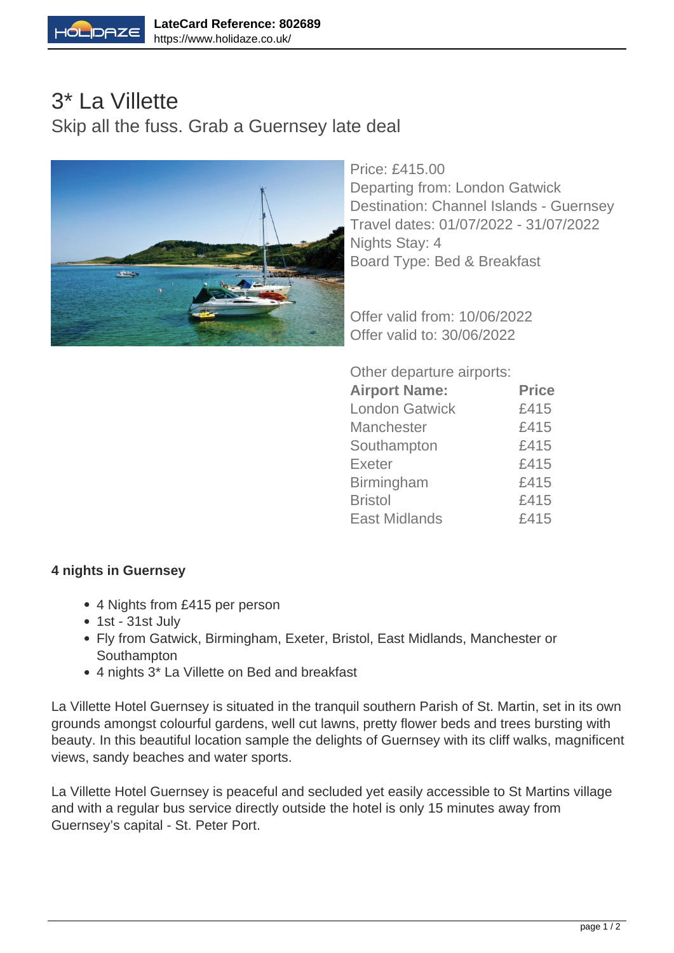

## 3\* La Villette Skip all the fuss. Grab a Guernsey late deal



Price: £415.00 Departing from: London Gatwick Destination: Channel Islands - Guernsey Travel dates: 01/07/2022 - 31/07/2022 Nights Stay: 4 Board Type: Bed & Breakfast

Offer valid from: 10/06/2022 Offer valid to: 30/06/2022

Other departure airports:

| <b>Airport Name:</b>  | <b>Price</b> |
|-----------------------|--------------|
| <b>London Gatwick</b> | £415         |
| <b>Manchester</b>     | £415         |
| Southampton           | £415         |
| <b>Exeter</b>         | £415         |
| <b>Birmingham</b>     | £415         |
| <b>Bristol</b>        | £415         |
| <b>East Midlands</b>  | £415         |

## **4 nights in Guernsey**

- 4 Nights from £415 per person
- 1st 31st July
- Fly from Gatwick, Birmingham, Exeter, Bristol, East Midlands, Manchester or Southampton
- 4 nights 3\* La Villette on Bed and breakfast

La Villette Hotel Guernsey is situated in the tranquil southern Parish of St. Martin, set in its own grounds amongst colourful gardens, well cut lawns, pretty flower beds and trees bursting with beauty. In this beautiful location sample the delights of Guernsey with its cliff walks, magnificent views, sandy beaches and water sports.

La Villette Hotel Guernsey is peaceful and secluded yet easily accessible to St Martins village and with a regular bus service directly outside the hotel is only 15 minutes away from Guernsey's capital - St. Peter Port.